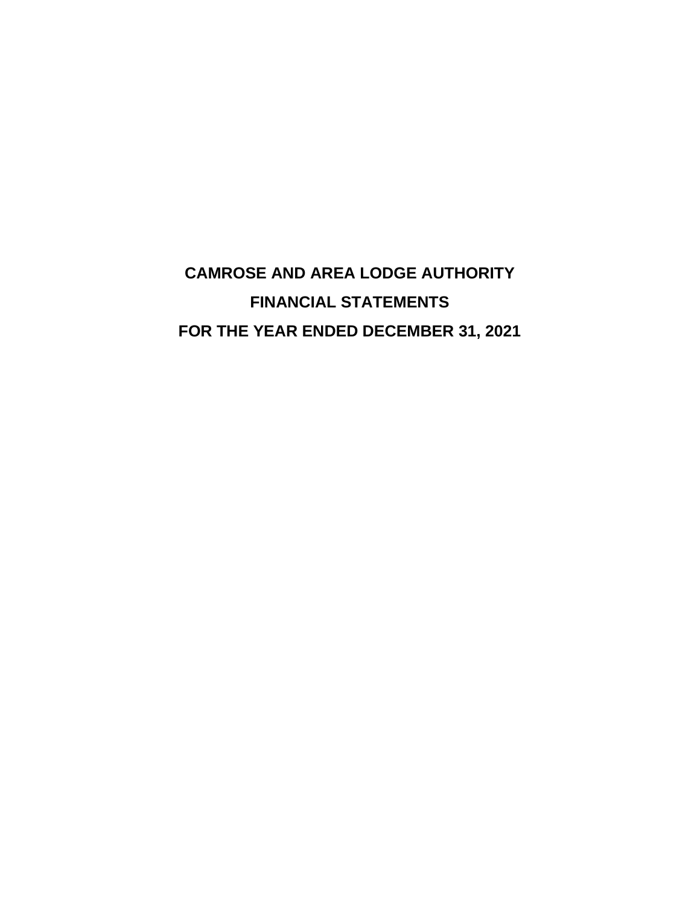**CAMROSE AND AREA LODGE AUTHORITY FINANCIAL STATEMENTS FOR THE YEAR ENDED DECEMBER 31, 2021**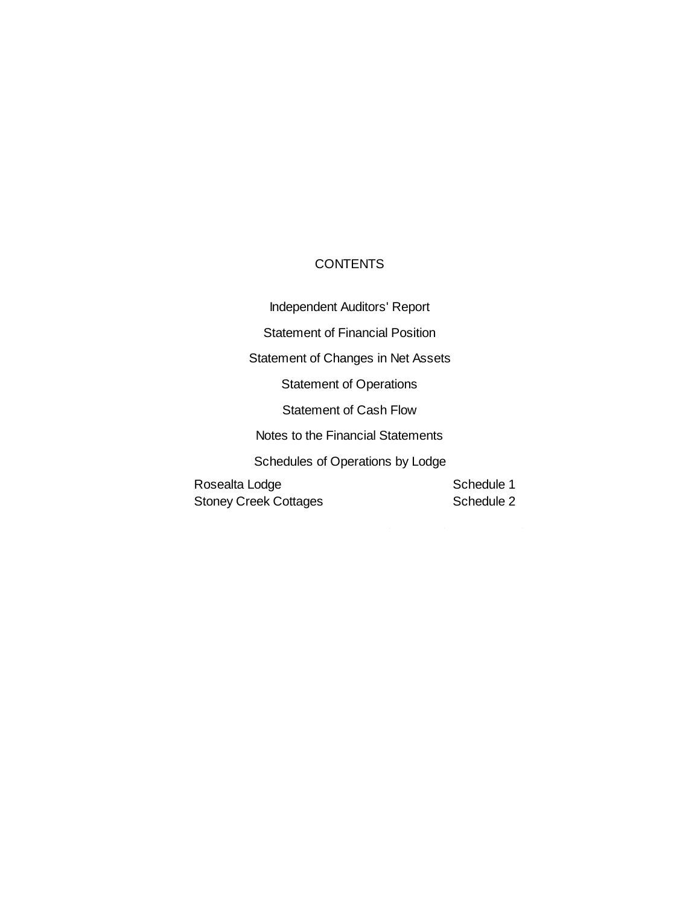#### **CONTENTS**

Independent Auditors' Report

Statement of Financial Position

Statement of Changes in Net Assets

Statement of Operations

Statement of Cash Flow

Notes to the Financial Statements

Schedules of Operations by Lodge

Rosealta Lodge Schedule 1 Stoney Creek Cottages Schedule 2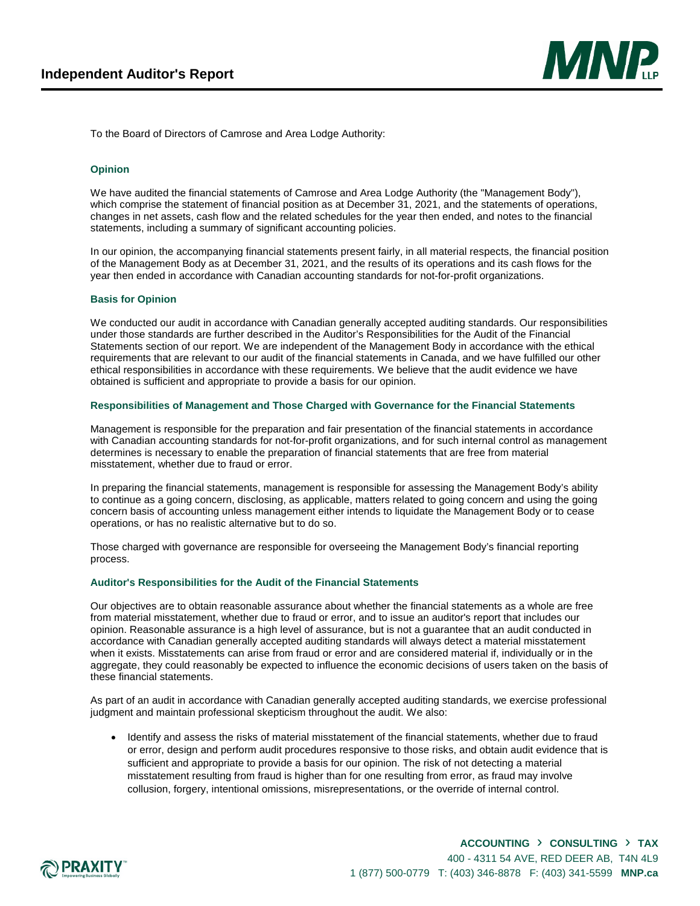

To the Board of Directors of Camrose and Area Lodge Authority:

#### **Opinion**

We have audited the financial statements of Camrose and Area Lodge Authority (the "Management Body"), which comprise the statement of financial position as at December 31, 2021, and the statements of operations, changes in net assets, cash flow and the related schedules for the year then ended, and notes to the financial statements, including a summary of significant accounting policies.

In our opinion, the accompanying financial statements present fairly, in all material respects, the financial position of the Management Body as at December 31, 2021, and the results of its operations and its cash flows for the year then ended in accordance with Canadian accounting standards for not-for-profit organizations.

#### **Basis for Opinion**

We conducted our audit in accordance with Canadian generally accepted auditing standards. Our responsibilities under those standards are further described in the Auditor's Responsibilities for the Audit of the Financial Statements section of our report. We are independent of the Management Body in accordance with the ethical requirements that are relevant to our audit of the financial statements in Canada, and we have fulfilled our other ethical responsibilities in accordance with these requirements. We believe that the audit evidence we have obtained is sufficient and appropriate to provide a basis for our opinion.

#### **Responsibilities of Management and Those Charged with Governance for the Financial Statements**

Management is responsible for the preparation and fair presentation of the financial statements in accordance with Canadian accounting standards for not-for-profit organizations, and for such internal control as management determines is necessary to enable the preparation of financial statements that are free from material misstatement, whether due to fraud or error.

In preparing the financial statements, management is responsible for assessing the Management Body's ability to continue as a going concern, disclosing, as applicable, matters related to going concern and using the going concern basis of accounting unless management either intends to liquidate the Management Body or to cease operations, or has no realistic alternative but to do so.

Those charged with governance are responsible for overseeing the Management Body's financial reporting process.

#### **Auditor's Responsibilities for the Audit of the Financial Statements**

Our objectives are to obtain reasonable assurance about whether the financial statements as a whole are free from material misstatement, whether due to fraud or error, and to issue an auditor's report that includes our opinion. Reasonable assurance is a high level of assurance, but is not a guarantee that an audit conducted in accordance with Canadian generally accepted auditing standards will always detect a material misstatement when it exists. Misstatements can arise from fraud or error and are considered material if, individually or in the aggregate, they could reasonably be expected to influence the economic decisions of users taken on the basis of these financial statements.

As part of an audit in accordance with Canadian generally accepted auditing standards, we exercise professional judgment and maintain professional skepticism throughout the audit. We also:

 Identify and assess the risks of material misstatement of the financial statements, whether due to fraud or error, design and perform audit procedures responsive to those risks, and obtain audit evidence that is sufficient and appropriate to provide a basis for our opinion. The risk of not detecting a material misstatement resulting from fraud is higher than for one resulting from error, as fraud may involve collusion, forgery, intentional omissions, misrepresentations, or the override of internal control.

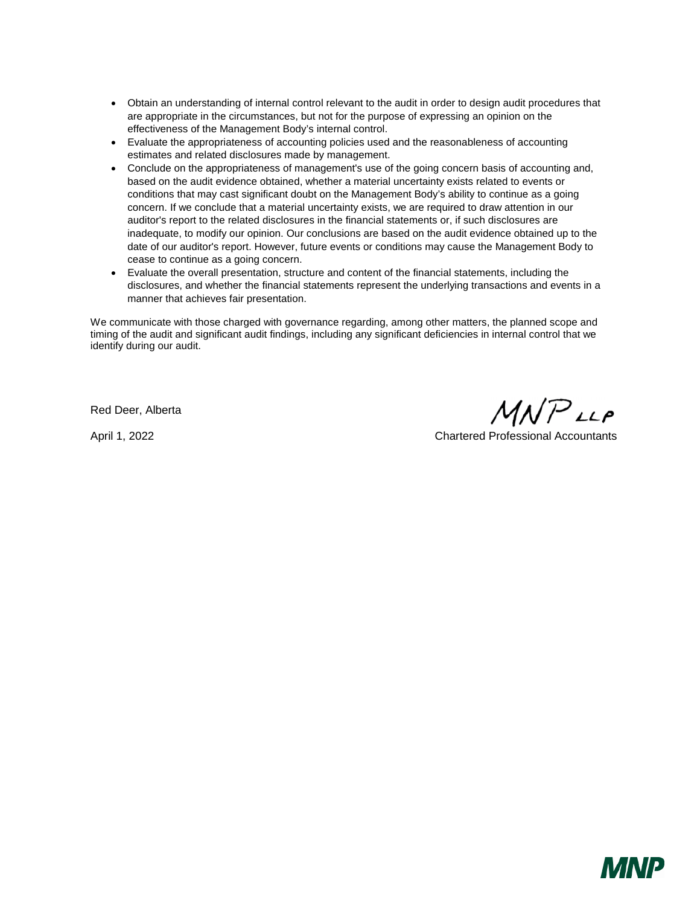- Obtain an understanding of internal control relevant to the audit in order to design audit procedures that are appropriate in the circumstances, but not for the purpose of expressing an opinion on the effectiveness of the Management Body's internal control.
- Evaluate the appropriateness of accounting policies used and the reasonableness of accounting estimates and related disclosures made by management.
- Conclude on the appropriateness of management's use of the going concern basis of accounting and, based on the audit evidence obtained, whether a material uncertainty exists related to events or conditions that may cast significant doubt on the Management Body's ability to continue as a going concern. If we conclude that a material uncertainty exists, we are required to draw attention in our auditor's report to the related disclosures in the financial statements or, if such disclosures are inadequate, to modify our opinion. Our conclusions are based on the audit evidence obtained up to the date of our auditor's report. However, future events or conditions may cause the Management Body to cease to continue as a going concern.
- Evaluate the overall presentation, structure and content of the financial statements, including the disclosures, and whether the financial statements represent the underlying transactions and events in a manner that achieves fair presentation.

We communicate with those charged with governance regarding, among other matters, the planned scope and timing of the audit and significant audit findings, including any significant deficiencies in internal control that we identify during our audit.

Red Deer, Alberta

 $MNP$ LLP

April 1, 2022 Chartered Professional Accountants

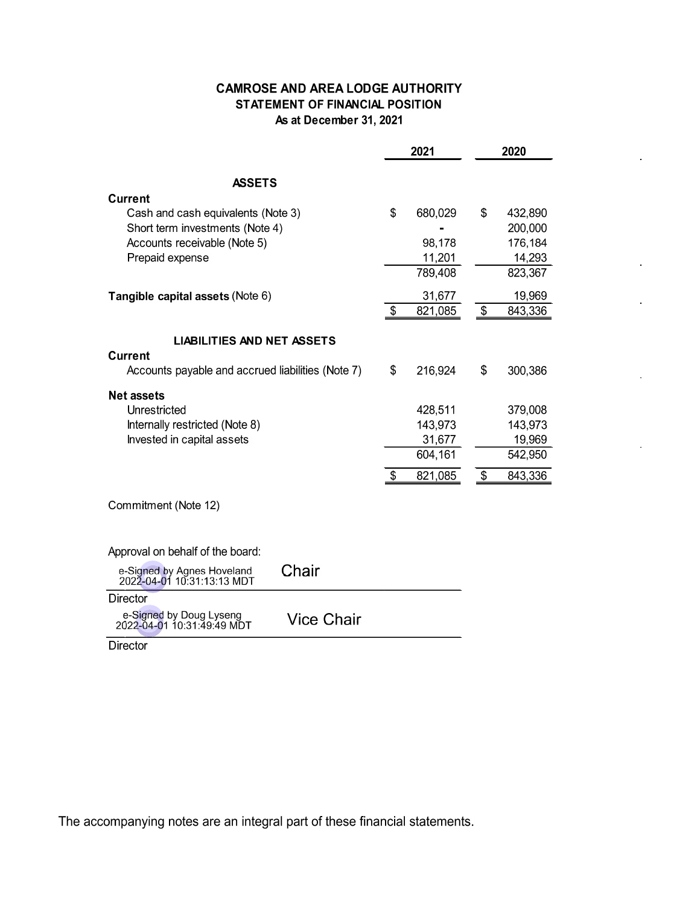## **CAMROSE AND AREA LODGE AUTHORITY** STATEMENT OF FINANCIAL POSITION As at December 31, 2021

 $\mathbf{r}$ 

 $\ddot{\phantom{1}}$ 

 $\mathcal{L}$ 

 $\bar{z}$ 

|                                                          |            | 2021          |         |               | 2020    |
|----------------------------------------------------------|------------|---------------|---------|---------------|---------|
| <b>ASSETS</b>                                            |            |               |         |               |         |
| Current                                                  |            |               |         |               |         |
| Cash and cash equivalents (Note 3)                       |            | \$            | 680,029 | \$            | 432,890 |
| Short term investments (Note 4)                          |            |               |         |               | 200,000 |
| Accounts receivable (Note 5)                             |            |               | 98,178  |               | 176,184 |
| Prepaid expense                                          |            |               | 11,201  |               | 14,293  |
|                                                          |            |               | 789,408 |               | 823,367 |
| Tangible capital assets (Note 6)                         |            |               | 31,677  |               | 19,969  |
|                                                          |            | $\mathsf{\$}$ | 821,085 | $\mathcal{L}$ | 843,336 |
|                                                          |            |               |         |               |         |
| <b>LIABILITIES AND NET ASSETS</b>                        |            |               |         |               |         |
| Current                                                  |            |               |         |               |         |
| Accounts payable and accrued liabilities (Note 7)        |            | \$            | 216,924 | \$            | 300,386 |
| Net assets                                               |            |               |         |               |         |
| Unrestricted                                             |            |               | 428,511 |               | 379,008 |
| Internally restricted (Note 8)                           |            |               | 143,973 |               | 143,973 |
| Invested in capital assets                               |            |               | 31,677  |               | 19,969  |
|                                                          |            |               | 604,161 |               | 542,950 |
|                                                          |            | \$            | 821,085 | \$            | 843,336 |
|                                                          |            |               |         |               |         |
| Commitment (Note 12)                                     |            |               |         |               |         |
|                                                          |            |               |         |               |         |
|                                                          |            |               |         |               |         |
| Approval on behalf of the board:                         |            |               |         |               |         |
| e-Signed by Agnes Hoveland<br>2022-04-01 10:31:13:13 MDT | Chair      |               |         |               |         |
| <b>Director</b>                                          |            |               |         |               |         |
| e-Signed by Doug Lyseng<br>2022-04-01 10:31:49:49 MDT    | Vice Chair |               |         |               |         |
|                                                          |            |               |         |               |         |

Director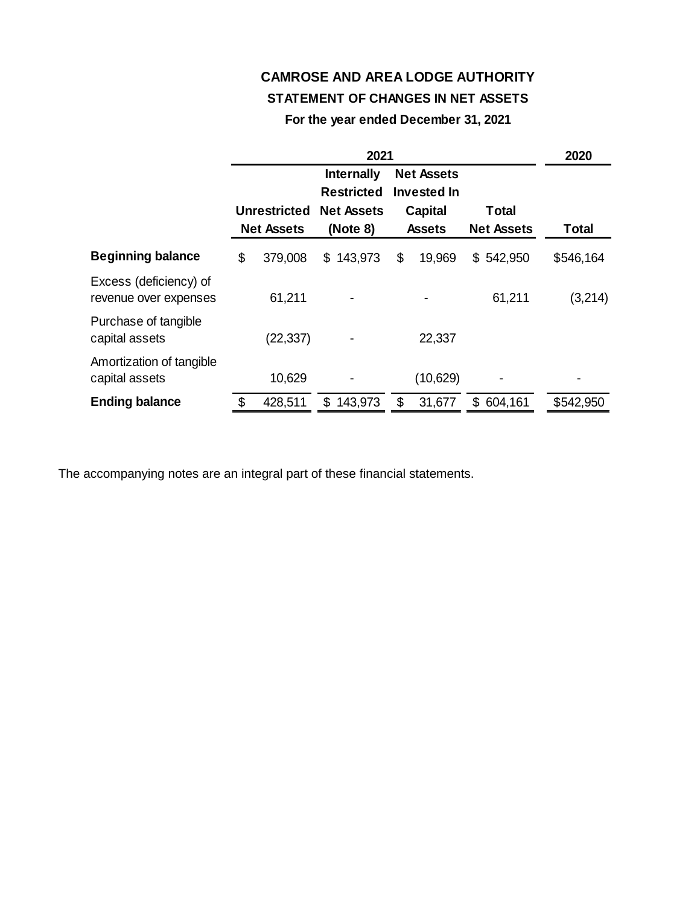# **CAMROSE AND AREA LODGE AUTHORITY STATEMENT OF CHANGES IN NET ASSETS**

**For the year ended December 31, 2021**

|                                                 |                                          | 2021                                                                    | 2020                                                                |                                   |              |
|-------------------------------------------------|------------------------------------------|-------------------------------------------------------------------------|---------------------------------------------------------------------|-----------------------------------|--------------|
|                                                 | <b>Unrestricted</b><br><b>Net Assets</b> | <b>Internally</b><br><b>Restricted</b><br><b>Net Assets</b><br>(Note 8) | <b>Net Assets</b><br>Invested In<br><b>Capital</b><br><b>Assets</b> | <b>Total</b><br><b>Net Assets</b> | <b>Total</b> |
| <b>Beginning balance</b>                        | \$<br>379,008                            | \$143,973                                                               | \$<br>19,969                                                        | \$542,950                         | \$546,164    |
| Excess (deficiency) of<br>revenue over expenses | 61,211                                   |                                                                         |                                                                     | 61,211                            | (3,214)      |
| Purchase of tangible<br>capital assets          | (22, 337)                                |                                                                         | 22,337                                                              |                                   |              |
| Amortization of tangible<br>capital assets      | 10,629                                   |                                                                         | (10,629)                                                            |                                   |              |
| <b>Ending balance</b>                           | \$<br>428,511                            | \$<br>143,973                                                           | \$<br>31,677                                                        | \$604,161                         | \$542,950    |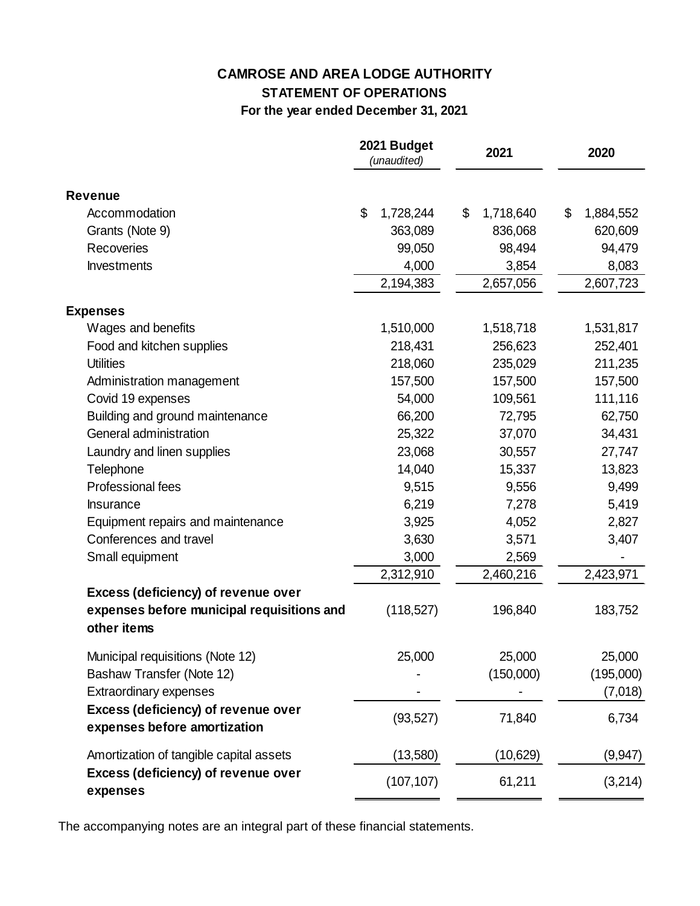# **CAMROSE AND AREA LODGE AUTHORITY STATEMENT OF OPERATIONS For the year ended December 31, 2021**

|                                                                     | 2021 Budget<br>(unaudited) | 2021            | 2020            |
|---------------------------------------------------------------------|----------------------------|-----------------|-----------------|
| <b>Revenue</b>                                                      |                            |                 |                 |
| Accommodation                                                       | \$<br>1,728,244            | \$<br>1,718,640 | \$<br>1,884,552 |
| Grants (Note 9)                                                     | 363,089                    | 836,068         | 620,609         |
| <b>Recoveries</b>                                                   | 99,050                     | 98,494          | 94,479          |
| <b>Investments</b>                                                  | 4,000                      | 3,854           | 8,083           |
|                                                                     | 2,194,383                  | 2,657,056       | 2,607,723       |
| <b>Expenses</b>                                                     |                            |                 |                 |
| Wages and benefits                                                  | 1,510,000                  | 1,518,718       | 1,531,817       |
| Food and kitchen supplies                                           | 218,431                    | 256,623         | 252,401         |
| <b>Utilities</b>                                                    | 218,060                    | 235,029         | 211,235         |
| Administration management                                           | 157,500                    | 157,500         | 157,500         |
| Covid 19 expenses                                                   | 54,000                     | 109,561         | 111,116         |
| Building and ground maintenance                                     | 66,200                     | 72,795          | 62,750          |
| General administration                                              | 25,322                     | 37,070          | 34,431          |
| Laundry and linen supplies                                          | 23,068                     | 30,557          | 27,747          |
| Telephone                                                           | 14,040                     | 15,337          | 13,823          |
| Professional fees                                                   | 9,515                      | 9,556           | 9,499           |
| <b>Insurance</b>                                                    | 6,219                      | 7,278           | 5,419           |
| Equipment repairs and maintenance                                   | 3,925                      | 4,052           | 2,827           |
| Conferences and travel                                              | 3,630                      | 3,571           | 3,407           |
| Small equipment                                                     | 3,000                      | 2,569           |                 |
|                                                                     | 2,312,910                  | 2,460,216       | 2,423,971       |
| Excess (deficiency) of revenue over                                 |                            |                 |                 |
| expenses before municipal requisitions and<br>other items           | (118, 527)                 | 196,840         | 183,752         |
| Municipal requisitions (Note 12)                                    | 25,000                     | 25,000          | 25,000          |
| Bashaw Transfer (Note 12)                                           |                            | (150,000)       | (195,000)       |
| <b>Extraordinary expenses</b>                                       |                            |                 | (7,018)         |
| Excess (deficiency) of revenue over<br>expenses before amortization | (93, 527)                  | 71,840          | 6,734           |
| Amortization of tangible capital assets                             | (13,580)                   | (10,629)        | (9, 947)        |
| Excess (deficiency) of revenue over<br>expenses                     | (107, 107)                 | 61,211          | (3,214)         |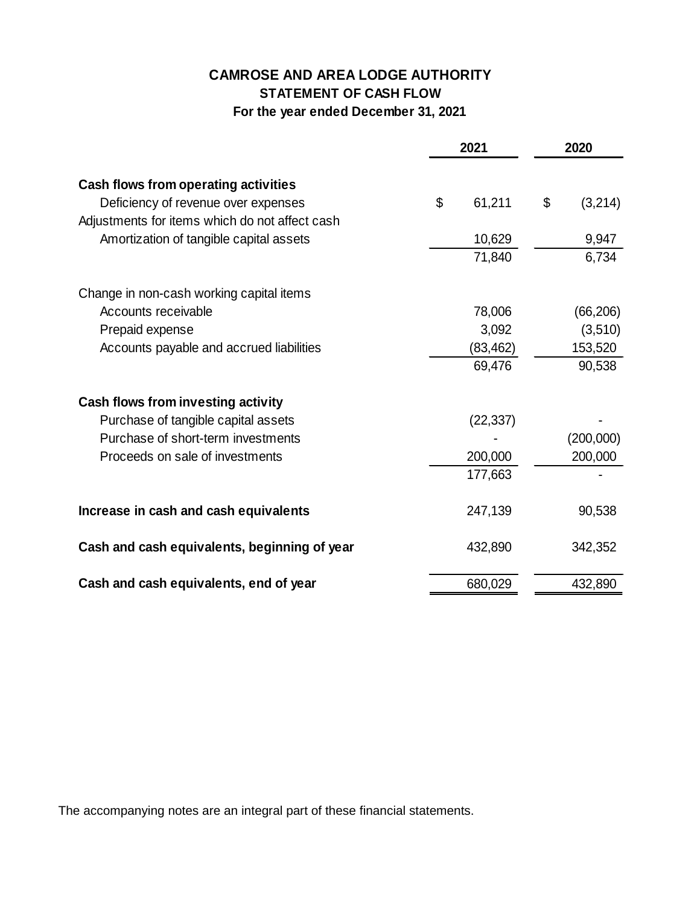# **CAMROSE AND AREA LODGE AUTHORITY STATEMENT OF CASH FLOW For the year ended December 31, 2021**

|                                                                                                                               | 2021         | 2020 |           |  |
|-------------------------------------------------------------------------------------------------------------------------------|--------------|------|-----------|--|
| Cash flows from operating activities<br>Deficiency of revenue over expenses<br>Adjustments for items which do not affect cash | \$<br>61,211 | \$   | (3,214)   |  |
| Amortization of tangible capital assets                                                                                       | 10,629       |      | 9,947     |  |
|                                                                                                                               | 71,840       |      | 6,734     |  |
| Change in non-cash working capital items                                                                                      |              |      |           |  |
| Accounts receivable                                                                                                           | 78,006       |      | (66, 206) |  |
| Prepaid expense                                                                                                               | 3,092        |      | (3,510)   |  |
| Accounts payable and accrued liabilities                                                                                      | (83, 462)    |      | 153,520   |  |
|                                                                                                                               | 69,476       |      | 90,538    |  |
| <b>Cash flows from investing activity</b>                                                                                     |              |      |           |  |
| Purchase of tangible capital assets                                                                                           | (22, 337)    |      |           |  |
| Purchase of short-term investments                                                                                            |              |      | (200,000) |  |
| Proceeds on sale of investments                                                                                               | 200,000      |      | 200,000   |  |
|                                                                                                                               | 177,663      |      |           |  |
| Increase in cash and cash equivalents                                                                                         | 247,139      |      | 90,538    |  |
| Cash and cash equivalents, beginning of year                                                                                  | 432,890      |      | 342,352   |  |
| Cash and cash equivalents, end of year                                                                                        | 680,029      |      | 432,890   |  |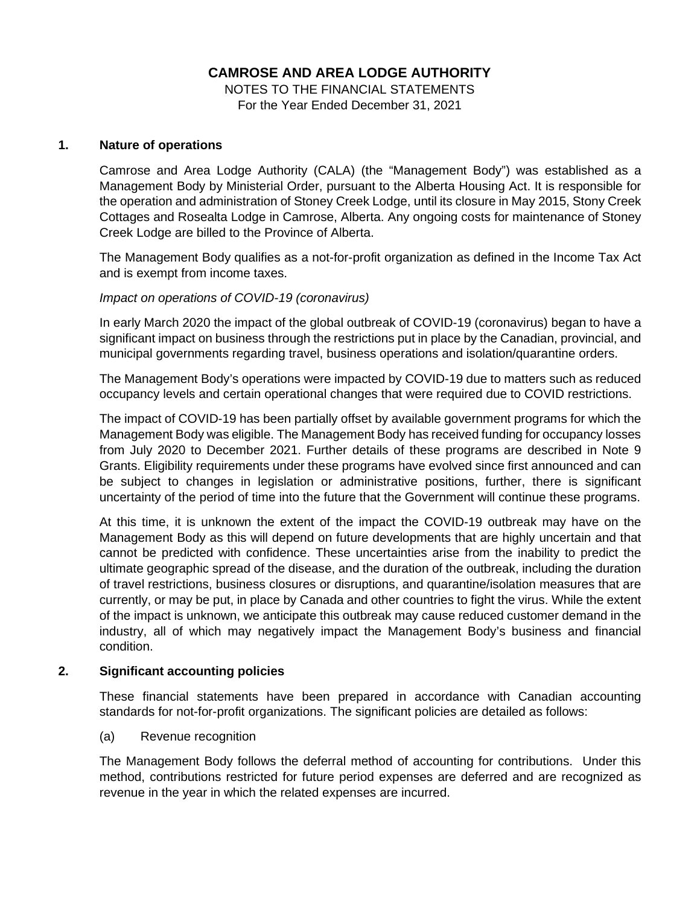## **CAMROSE AND AREA LODGE AUTHORITY**

NOTES TO THE FINANCIAL STATEMENTS For the Year Ended December 31, 2021

#### **1. Nature of operations**

Camrose and Area Lodge Authority (CALA) (the "Management Body") was established as a Management Body by Ministerial Order, pursuant to the Alberta Housing Act. It is responsible for the operation and administration of Stoney Creek Lodge, until its closure in May 2015, Stony Creek Cottages and Rosealta Lodge in Camrose, Alberta. Any ongoing costs for maintenance of Stoney Creek Lodge are billed to the Province of Alberta.

The Management Body qualifies as a not-for-profit organization as defined in the Income Tax Act and is exempt from income taxes.

#### *Impact on operations of COVID-19 (coronavirus)*

In early March 2020 the impact of the global outbreak of COVID-19 (coronavirus) began to have a significant impact on business through the restrictions put in place by the Canadian, provincial, and municipal governments regarding travel, business operations and isolation/quarantine orders.

The Management Body's operations were impacted by COVID-19 due to matters such as reduced occupancy levels and certain operational changes that were required due to COVID restrictions.

The impact of COVID-19 has been partially offset by available government programs for which the Management Body was eligible. The Management Body has received funding for occupancy losses from July 2020 to December 2021. Further details of these programs are described in Note 9 Grants. Eligibility requirements under these programs have evolved since first announced and can be subject to changes in legislation or administrative positions, further, there is significant uncertainty of the period of time into the future that the Government will continue these programs.

At this time, it is unknown the extent of the impact the COVID-19 outbreak may have on the Management Body as this will depend on future developments that are highly uncertain and that cannot be predicted with confidence. These uncertainties arise from the inability to predict the ultimate geographic spread of the disease, and the duration of the outbreak, including the duration of travel restrictions, business closures or disruptions, and quarantine/isolation measures that are currently, or may be put, in place by Canada and other countries to fight the virus. While the extent of the impact is unknown, we anticipate this outbreak may cause reduced customer demand in the industry, all of which may negatively impact the Management Body's business and financial condition.

#### **2. Significant accounting policies**

These financial statements have been prepared in accordance with Canadian accounting standards for not-for-profit organizations. The significant policies are detailed as follows:

#### (a) Revenue recognition

The Management Body follows the deferral method of accounting for contributions. Under this method, contributions restricted for future period expenses are deferred and are recognized as revenue in the year in which the related expenses are incurred.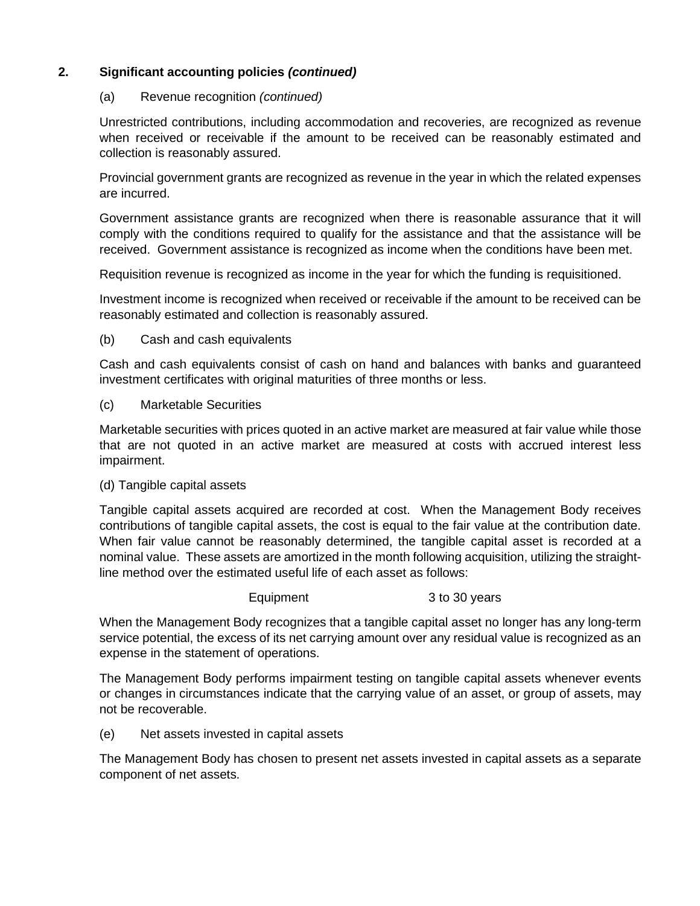## **2. Significant accounting policies** *(continued)*

#### (a) Revenue recognition *(continued)*

Unrestricted contributions, including accommodation and recoveries, are recognized as revenue when received or receivable if the amount to be received can be reasonably estimated and collection is reasonably assured.

Provincial government grants are recognized as revenue in the year in which the related expenses are incurred.

Government assistance grants are recognized when there is reasonable assurance that it will comply with the conditions required to qualify for the assistance and that the assistance will be received. Government assistance is recognized as income when the conditions have been met.

Requisition revenue is recognized as income in the year for which the funding is requisitioned.

Investment income is recognized when received or receivable if the amount to be received can be reasonably estimated and collection is reasonably assured.

(b) Cash and cash equivalents

Cash and cash equivalents consist of cash on hand and balances with banks and guaranteed investment certificates with original maturities of three months or less.

(c) Marketable Securities

Marketable securities with prices quoted in an active market are measured at fair value while those that are not quoted in an active market are measured at costs with accrued interest less impairment.

(d) Tangible capital assets

Tangible capital assets acquired are recorded at cost. When the Management Body receives contributions of tangible capital assets, the cost is equal to the fair value at the contribution date. When fair value cannot be reasonably determined, the tangible capital asset is recorded at a nominal value. These assets are amortized in the month following acquisition, utilizing the straightline method over the estimated useful life of each asset as follows:

Equipment 3 to 30 years

When the Management Body recognizes that a tangible capital asset no longer has any long-term service potential, the excess of its net carrying amount over any residual value is recognized as an expense in the statement of operations.

The Management Body performs impairment testing on tangible capital assets whenever events or changes in circumstances indicate that the carrying value of an asset, or group of assets, may not be recoverable.

(e) Net assets invested in capital assets

The Management Body has chosen to present net assets invested in capital assets as a separate component of net assets.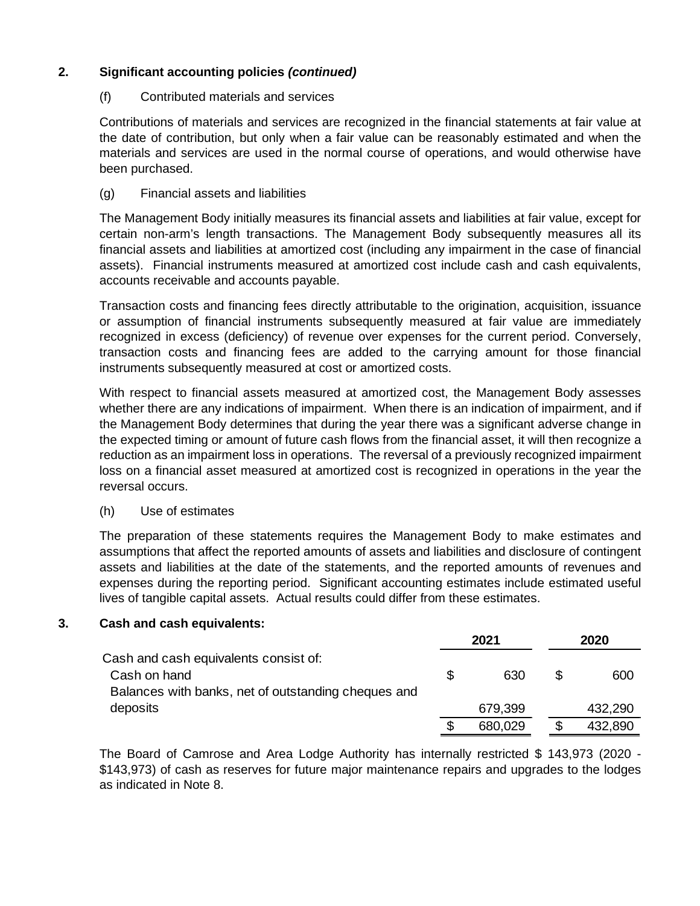## **2. Significant accounting policies** *(continued)*

#### (f) Contributed materials and services

Contributions of materials and services are recognized in the financial statements at fair value at the date of contribution, but only when a fair value can be reasonably estimated and when the materials and services are used in the normal course of operations, and would otherwise have been purchased.

#### (g) Financial assets and liabilities

The Management Body initially measures its financial assets and liabilities at fair value, except for certain non-arm's length transactions. The Management Body subsequently measures all its financial assets and liabilities at amortized cost (including any impairment in the case of financial assets). Financial instruments measured at amortized cost include cash and cash equivalents, accounts receivable and accounts payable.

Transaction costs and financing fees directly attributable to the origination, acquisition, issuance or assumption of financial instruments subsequently measured at fair value are immediately recognized in excess (deficiency) of revenue over expenses for the current period. Conversely, transaction costs and financing fees are added to the carrying amount for those financial instruments subsequently measured at cost or amortized costs.

With respect to financial assets measured at amortized cost, the Management Body assesses whether there are any indications of impairment. When there is an indication of impairment, and if the Management Body determines that during the year there was a significant adverse change in the expected timing or amount of future cash flows from the financial asset, it will then recognize a reduction as an impairment loss in operations. The reversal of a previously recognized impairment loss on a financial asset measured at amortized cost is recognized in operations in the year the reversal occurs.

#### (h) Use of estimates

The preparation of these statements requires the Management Body to make estimates and assumptions that affect the reported amounts of assets and liabilities and disclosure of contingent assets and liabilities at the date of the statements, and the reported amounts of revenues and expenses during the reporting period. Significant accounting estimates include estimated useful lives of tangible capital assets. Actual results could differ from these estimates.

#### **3. Cash and cash equivalents:**

|                                                     |    | 2021    |     | 2020    |  |  |
|-----------------------------------------------------|----|---------|-----|---------|--|--|
| Cash and cash equivalents consist of:               |    |         |     |         |  |  |
| Cash on hand                                        | \$ | 630     | \$. | 600     |  |  |
| Balances with banks, net of outstanding cheques and |    |         |     |         |  |  |
| deposits                                            |    | 679,399 |     | 432,290 |  |  |
|                                                     | S  | 680,029 |     | 432,890 |  |  |

The Board of Camrose and Area Lodge Authority has internally restricted \$ 143,973 (2020 - \$143,973) of cash as reserves for future major maintenance repairs and upgrades to the lodges as indicated in Note 8.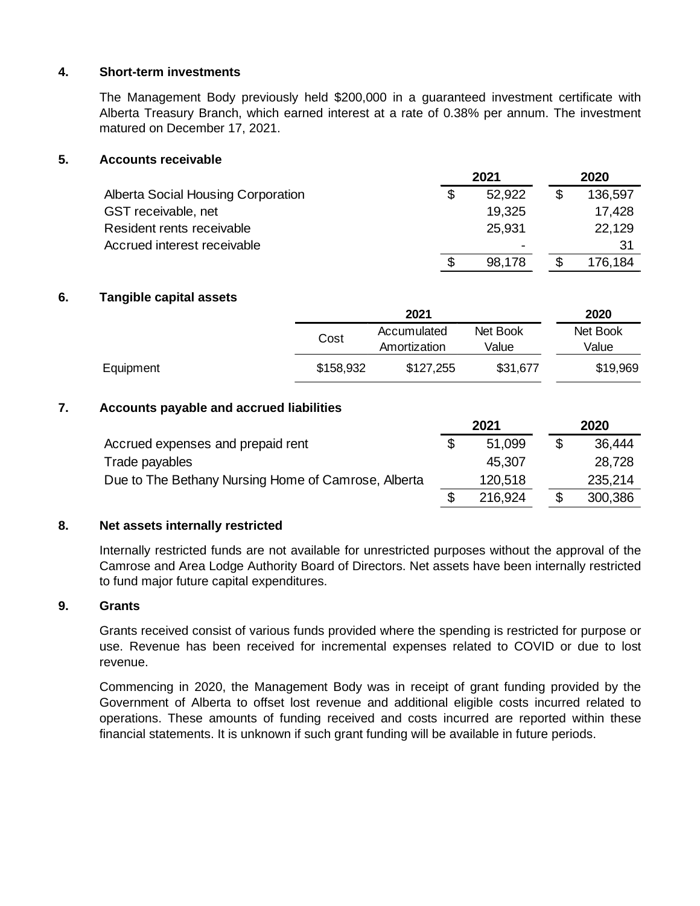#### **4. Short-term investments**

The Management Body previously held \$200,000 in a guaranteed investment certificate with Alberta Treasury Branch, which earned interest at a rate of 0.38% per annum. The investment matured on December 17, 2021.

#### **5. Accounts receivable**

|                                    | 2021 |        |  | 2020    |  |  |
|------------------------------------|------|--------|--|---------|--|--|
| Alberta Social Housing Corporation | \$   | 52,922 |  | 136,597 |  |  |
| GST receivable, net                |      | 19,325 |  | 17,428  |  |  |
| Resident rents receivable          |      | 25,931 |  | 22,129  |  |  |
| Accrued interest receivable        |      | ٠      |  | 31      |  |  |
|                                    |      | 98,178 |  | 176,184 |  |  |

#### **6. Tangible capital assets**

|           |           | 2020                        |                   |                   |
|-----------|-----------|-----------------------------|-------------------|-------------------|
| Cost      |           | Accumulated<br>Amortization | Net Book<br>Value | Net Book<br>Value |
| Equipment | \$158,932 | \$127,255                   | \$31,677          | \$19,969          |

#### **7. Accounts payable and accrued liabilities**

|                                                     | 2021 |         |  | 2020    |
|-----------------------------------------------------|------|---------|--|---------|
| Accrued expenses and prepaid rent                   |      | 51.099  |  | 36,444  |
| Trade payables                                      |      | 45,307  |  | 28,728  |
| Due to The Bethany Nursing Home of Camrose, Alberta |      | 120,518 |  | 235,214 |
|                                                     |      | 216,924 |  | 300,386 |

#### **8. Net assets internally restricted**

Internally restricted funds are not available for unrestricted purposes without the approval of the Camrose and Area Lodge Authority Board of Directors. Net assets have been internally restricted to fund major future capital expenditures.

#### **9. Grants**

Grants received consist of various funds provided where the spending is restricted for purpose or use. Revenue has been received for incremental expenses related to COVID or due to lost revenue.

Commencing in 2020, the Management Body was in receipt of grant funding provided by the Government of Alberta to offset lost revenue and additional eligible costs incurred related to operations. These amounts of funding received and costs incurred are reported within these financial statements. It is unknown if such grant funding will be available in future periods.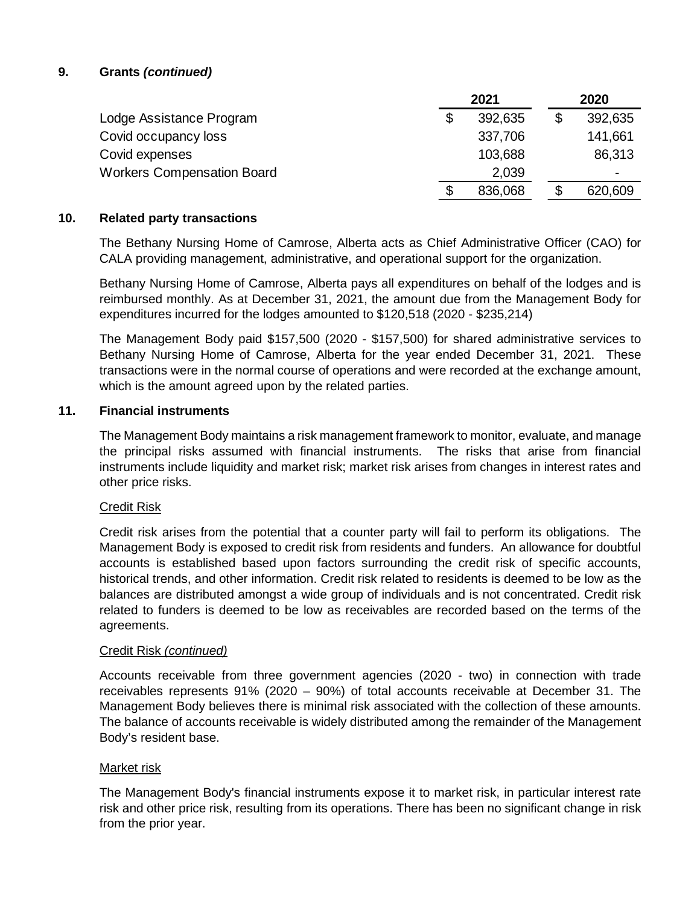#### **9. Grants** *(continued)*

|                                   | 2021          | 2020 |                          |  |
|-----------------------------------|---------------|------|--------------------------|--|
| Lodge Assistance Program          | \$<br>392,635 |      | 392,635                  |  |
| Covid occupancy loss              | 337,706       |      | 141,661                  |  |
| Covid expenses                    | 103,688       |      | 86,313                   |  |
| <b>Workers Compensation Board</b> | 2,039         |      | $\overline{\phantom{0}}$ |  |
|                                   | 836,068       |      | 620,609                  |  |
|                                   |               |      |                          |  |

#### **10. Related party transactions**

The Bethany Nursing Home of Camrose, Alberta acts as Chief Administrative Officer (CAO) for CALA providing management, administrative, and operational support for the organization.

Bethany Nursing Home of Camrose, Alberta pays all expenditures on behalf of the lodges and is reimbursed monthly. As at December 31, 2021, the amount due from the Management Body for expenditures incurred for the lodges amounted to \$120,518 (2020 - \$235,214)

The Management Body paid \$157,500 (2020 - \$157,500) for shared administrative services to Bethany Nursing Home of Camrose, Alberta for the year ended December 31, 2021. These transactions were in the normal course of operations and were recorded at the exchange amount, which is the amount agreed upon by the related parties.

#### **11. Financial instruments**

The Management Body maintains a risk management framework to monitor, evaluate, and manage the principal risks assumed with financial instruments. The risks that arise from financial instruments include liquidity and market risk; market risk arises from changes in interest rates and other price risks.

#### Credit Risk

Credit risk arises from the potential that a counter party will fail to perform its obligations. The Management Body is exposed to credit risk from residents and funders. An allowance for doubtful accounts is established based upon factors surrounding the credit risk of specific accounts, historical trends, and other information. Credit risk related to residents is deemed to be low as the balances are distributed amongst a wide group of individuals and is not concentrated. Credit risk related to funders is deemed to be low as receivables are recorded based on the terms of the agreements.

#### Credit Risk *(continued)*

Accounts receivable from three government agencies (2020 - two) in connection with trade receivables represents 91% (2020 – 90%) of total accounts receivable at December 31. The Management Body believes there is minimal risk associated with the collection of these amounts. The balance of accounts receivable is widely distributed among the remainder of the Management Body's resident base.

#### Market risk

The Management Body's financial instruments expose it to market risk, in particular interest rate risk and other price risk, resulting from its operations. There has been no significant change in risk from the prior year.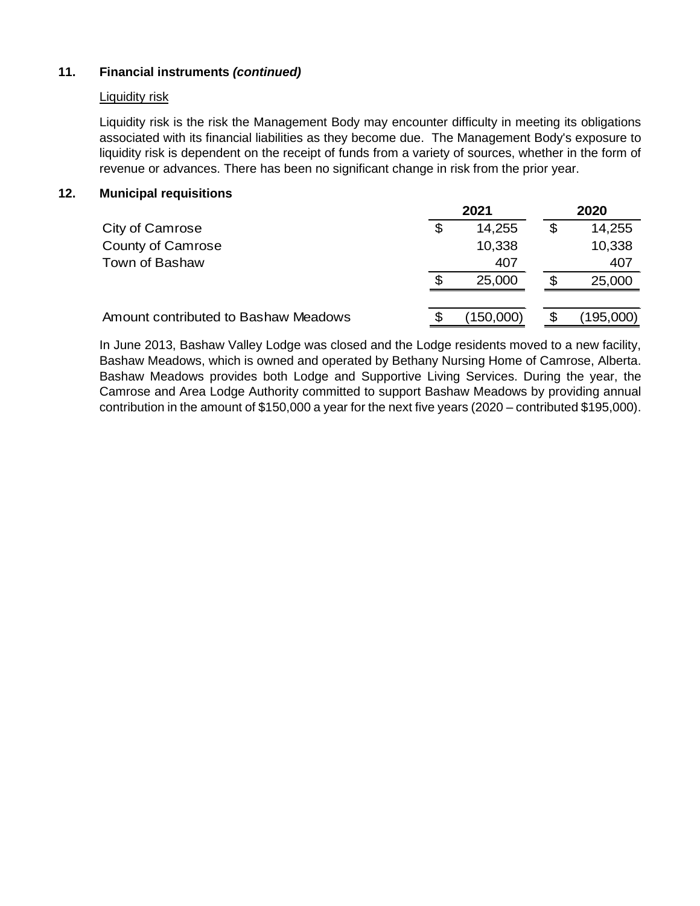## **11. Financial instruments** *(continued)*

#### Liquidity risk

Liquidity risk is the risk the Management Body may encounter difficulty in meeting its obligations associated with its financial liabilities as they become due. The Management Body's exposure to liquidity risk is dependent on the receipt of funds from a variety of sources, whether in the form of revenue or advances. There has been no significant change in risk from the prior year.

#### **12. Municipal requisitions**

|                                      | 2021      | 2020 |           |  |
|--------------------------------------|-----------|------|-----------|--|
| City of Camrose                      | 14,255    |      | 14,255    |  |
| <b>County of Camrose</b>             | 10,338    |      | 10,338    |  |
| Town of Bashaw                       | 407       |      | 407       |  |
|                                      | 25,000    |      | 25,000    |  |
|                                      |           |      |           |  |
| Amount contributed to Bashaw Meadows | (150,000) |      | (195,000) |  |

In June 2013, Bashaw Valley Lodge was closed and the Lodge residents moved to a new facility, Bashaw Meadows, which is owned and operated by Bethany Nursing Home of Camrose, Alberta. Bashaw Meadows provides both Lodge and Supportive Living Services. During the year, the Camrose and Area Lodge Authority committed to support Bashaw Meadows by providing annual contribution in the amount of \$150,000 a year for the next five years (2020 – contributed \$195,000).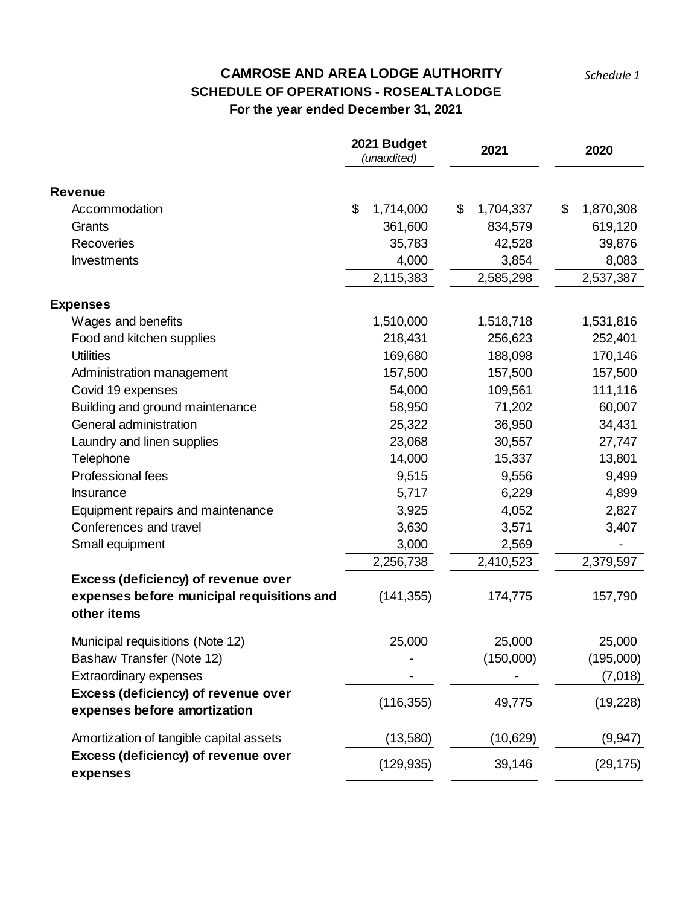*Schedule 1*

# **SCHEDULE OF OPERATIONS - ROSEALTA LODGE For the year ended December 31, 2021 CAMROSE AND AREA LODGE AUTHORITY**

|                                                                     | 2021 Budget<br>(unaudited) | 2021            | 2020            |
|---------------------------------------------------------------------|----------------------------|-----------------|-----------------|
| <b>Revenue</b>                                                      |                            |                 |                 |
| Accommodation                                                       | \$<br>1,714,000            | \$<br>1,704,337 | \$<br>1,870,308 |
| Grants                                                              | 361,600                    | 834,579         | 619,120         |
| Recoveries                                                          | 35,783                     | 42,528          | 39,876          |
| Investments                                                         | 4,000                      | 3,854           | 8,083           |
|                                                                     | 2,115,383                  | 2,585,298       | 2,537,387       |
| <b>Expenses</b>                                                     |                            |                 |                 |
| Wages and benefits                                                  | 1,510,000                  | 1,518,718       | 1,531,816       |
| Food and kitchen supplies                                           | 218,431                    | 256,623         | 252,401         |
| <b>Utilities</b>                                                    | 169,680                    | 188,098         | 170,146         |
| Administration management                                           | 157,500                    | 157,500         | 157,500         |
| Covid 19 expenses                                                   | 54,000                     | 109,561         | 111,116         |
| Building and ground maintenance                                     | 58,950                     | 71,202          | 60,007          |
| General administration                                              | 25,322                     | 36,950          | 34,431          |
| Laundry and linen supplies                                          | 23,068                     | 30,557          | 27,747          |
| Telephone                                                           | 14,000                     | 15,337          | 13,801          |
| Professional fees                                                   | 9,515                      | 9,556           | 9,499           |
| <b>Insurance</b>                                                    | 5,717                      | 6,229           | 4,899           |
| Equipment repairs and maintenance                                   | 3,925                      | 4,052           | 2,827           |
| Conferences and travel                                              | 3,630                      | 3,571           | 3,407           |
| Small equipment                                                     | 3,000                      | 2,569           |                 |
|                                                                     | 2,256,738                  | 2,410,523       | 2,379,597       |
| <b>Excess (deficiency) of revenue over</b>                          |                            |                 |                 |
| expenses before municipal requisitions and<br>other items           | (141, 355)                 | 174,775         | 157,790         |
| Municipal requisitions (Note 12)                                    | 25,000                     | 25,000          | 25,000          |
| Bashaw Transfer (Note 12)                                           |                            | (150,000)       | (195,000)       |
| <b>Extraordinary expenses</b>                                       |                            |                 | (7,018)         |
| Excess (deficiency) of revenue over<br>expenses before amortization | (116, 355)                 | 49,775          | (19, 228)       |
| Amortization of tangible capital assets                             | (13,580)                   | (10,629)        | (9, 947)        |
| Excess (deficiency) of revenue over<br>expenses                     | (129, 935)                 | 39,146          | (29, 175)       |